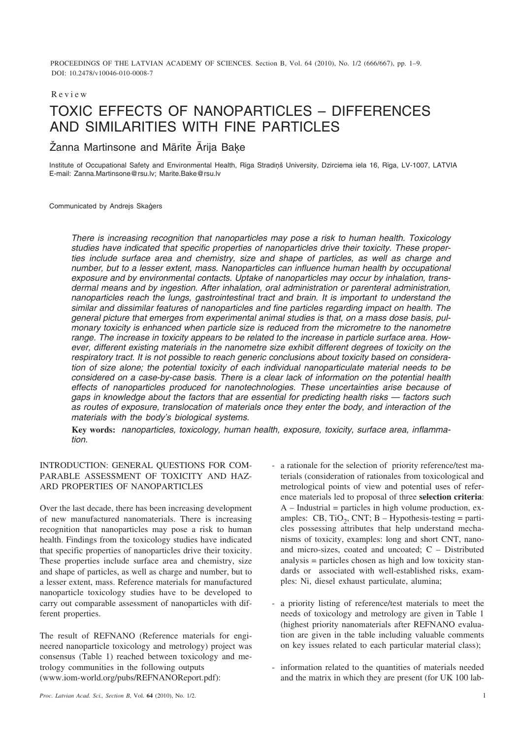PROCEEDINGS OF THE LATVIAN ACADEMY OF SCIENCES. Section B, Vol. 64 (2010), No. 1/2 (666/667), pp. 1–9. DOI: 10.2478/v10046-010-0008-7

#### Review

# TOXIC EFFECTS OF NANOPARTICLES – DIFFERENCES AND SIMILARITIES WITH FINE PARTICLES

Žanna Martinsone and Mārīte Arija Baķe

Institute of Occupational Safety and Environmental Health, Rīga Stradinš University, Dzirciema iela 16, Rīga, LV-1007, LATVIA E-mail: Zanna.Martinsone@rsu.lv; Marite.Bake@rsu.lv

Communicated by Andrejs Skagers

*There is increasing recognition that nanoparticles may pose a risk to human health. Toxicology studies have indicated that specific properties of nanoparticles drive their toxicity. These properties include surface area and chemistry, size and shape of particles, as well as charge and number, but to a lesser extent, mass. Nanoparticles can influence human health by occupational exposure and by environmental contacts. Uptake of nanoparticles may occur by inhalation, transdermal means and by ingestion. After inhalation, oral administration or parenteral administration, nanoparticles reach the lungs, gastrointestinal tract and brain. It is important to understand the similar and dissimilar features of nanoparticles and fine particles regarding impact on health. The general picture that emerges from experimental animal studies is that, on a mass dose basis, pulmonary toxicity is enhanced when particle size is reduced from the micrometre to the nanometre range. The increase in toxicity appears to be related to the increase in particle surface area. However, different existing materials in the nanometre size exhibit different degrees of toxicity on the respiratory tract. It is not possible to reach generic conclusions about toxicity based on consideration of size alone; the potential toxicity of each individual nanoparticulate material needs to be considered on a case-by-case basis. There is a clear lack of information on the potential health effects of nanoparticles produced for nanotechnologies. These uncertainties arise because of gaps in knowledge about the factors that are essential for predicting health risks — factors such as routes of exposure, translocation of materials once they enter the body, and interaction of the materials with the body's biological systems.*

**Key words:** *nanoparticles, toxicology, human health, exposure, toxicity, surface area, inflammation.*

## INTRODUCTION: GENERAL QUESTIONS FOR COM-PARABLE ASSESSMENT OF TOXICITY AND HAZ-ARD PROPERTIES OF NANOPARTICLES

Over the last decade, there has been increasing development of new manufactured nanomaterials. There is increasing recognition that nanoparticles may pose a risk to human health. Findings from the toxicology studies have indicated that specific properties of nanoparticles drive their toxicity. These properties include surface area and chemistry, size and shape of particles, as well as charge and number, but to a lesser extent, mass. Reference materials for manufactured nanoparticle toxicology studies have to be developed to carry out comparable assessment of nanoparticles with different properties.

The result of REFNANO (Reference materials for engineered nanoparticle toxicology and metrology) project was consensus (Table 1) reached between toxicology and metrology communities in the following outputs (www.iom-world.org/pubs/REFNANOReport.pdf):

- a rationale for the selection of priority reference/test materials (consideration of rationales from toxicological and metrological points of view and potential uses of reference materials led to proposal of three **selection criteria**:  $A$  – Industrial = particles in high volume production, examples: CB, TiO<sub>2</sub>, CNT; B – Hypothesis-testing = particles possessing attributes that help understand mechanisms of toxicity, examples: long and short CNT, nanoand micro-sizes, coated and uncoated; C – Distributed analysis = particles chosen as high and low toxicity standards or associated with well-established risks, examples: Ni, diesel exhaust particulate, alumina;
- a priority listing of reference/test materials to meet the needs of toxicology and metrology are given in Table 1 (highest priority nanomaterials after REFNANO evaluation are given in the table including valuable comments on key issues related to each particular material class);
- information related to the quantities of materials needed and the matrix in which they are present (for UK 100 lab-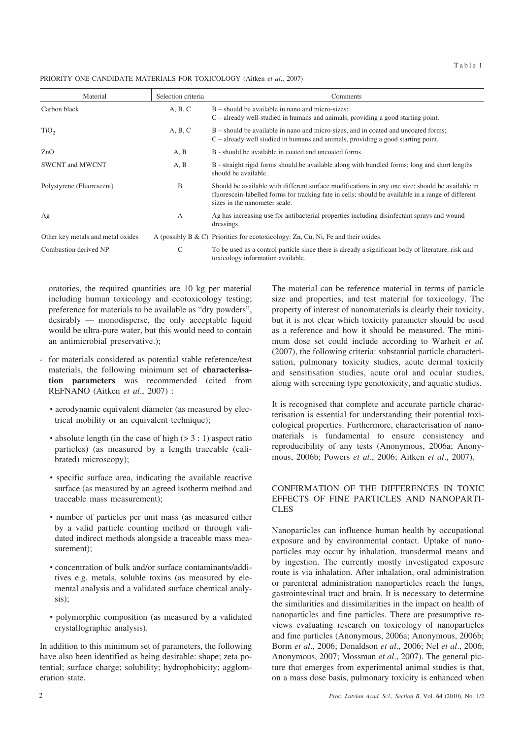|  |  | PRIORITY ONE CANDIDATE MATERIALS FOR TOXICOLOGY (Aitken et al., 2007) |  |  |  |
|--|--|-----------------------------------------------------------------------|--|--|--|
|--|--|-----------------------------------------------------------------------|--|--|--|

| Material                          | Selection criteria | Comments                                                                                                                                                                                                                                |
|-----------------------------------|--------------------|-----------------------------------------------------------------------------------------------------------------------------------------------------------------------------------------------------------------------------------------|
| Carbon black                      | A, B, C            | B – should be available in nano and micro-sizes;<br>$C$ – already well-studied in humans and animals, providing a good starting point.                                                                                                  |
| TiO <sub>2</sub>                  | A, B, C            | B – should be available in nano and micro-sizes, and in coated and uncoated forms;<br>$C$ – already well studied in humans and animals, providing a good starting point.                                                                |
| ZnO                               | A, B               | B - should be available in coated and uncoated forms.                                                                                                                                                                                   |
| <b>SWCNT</b> and MWCNT            | A, B               | B - straight rigid forms should be available along with bundled forms; long and short lengths<br>should be available.                                                                                                                   |
| Polystyrene (Fluorescent)         | B                  | Should be available with different surface modifications in any one size; should be available in<br>fluorescein-labelled forms for tracking fate in cells; should be available in a range of different<br>sizes in the nanometer scale. |
| Ag                                | A                  | Ag has increasing use for antibacterial properties including disinfectant sprays and wound<br>dressings.                                                                                                                                |
| Other key metals and metal oxides |                    | A (possibly $B \& C$ ) Priorities for ecotoxicology: Zn, Cu, Ni, Fe and their oxides.                                                                                                                                                   |
| Combustion derived NP             | $\mathcal{C}$      | To be used as a control particle since there is already a significant body of literature, risk and<br>toxicology information available.                                                                                                 |

oratories, the required quantities are 10 kg per material including human toxicology and ecotoxicology testing; preference for materials to be available as "dry powders", desirably — monodisperse, the only acceptable liquid would be ultra-pure water, but this would need to contain an antimicrobial preservative.);

- for materials considered as potential stable reference/test materials, the following minimum set of **characterisation parameters** was recommended (cited from REFNANO (Aitken *et al*., 2007) :
	- aerodynamic equivalent diameter (as measured by electrical mobility or an equivalent technique);
	- absolute length (in the case of high  $(> 3 : 1)$  aspect ratio particles) (as measured by a length traceable (calibrated) microscopy);
	- specific surface area, indicating the available reactive surface (as measured by an agreed isotherm method and traceable mass measurement);
	- number of particles per unit mass (as measured either by a valid particle counting method or through validated indirect methods alongside a traceable mass measurement);
	- concentration of bulk and/or surface contaminants/additives e.g. metals, soluble toxins (as measured by elemental analysis and a validated surface chemical analysis);
	- polymorphic composition (as measured by a validated crystallographic analysis).

In addition to this minimum set of parameters, the following have also been identified as being desirable: shape; zeta potential; surface charge; solubility; hydrophobicity; agglomeration state.

The material can be reference material in terms of particle size and properties, and test material for toxicology. The property of interest of nanomaterials is clearly their toxicity, but it is not clear which toxicity parameter should be used as a reference and how it should be measured. The minimum dose set could include according to Warheit *et al.* (2007), the following criteria: substantial particle characterisation, pulmonary toxicity studies, acute dermal toxicity and sensitisation studies, acute oral and ocular studies, along with screening type genotoxicity, and aquatic studies.

It is recognised that complete and accurate particle characterisation is essential for understanding their potential toxicological properties. Furthermore, characterisation of nanomaterials is fundamental to ensure consistency and reproducibility of any tests (Anonymous, 2006a; Anonymous, 2006b; Powers *et al.*, 2006; Aitken *et al*., 2007).

## CONFIRMATION OF THE DIFFERENCES IN TOXIC EFFECTS OF FINE PARTICLES AND NANOPARTI-**CLES**

Nanoparticles can influence human health by occupational exposure and by environmental contact. Uptake of nanoparticles may occur by inhalation, transdermal means and by ingestion. The currently mostly investigated exposure route is via inhalation. After inhalation, oral administration or parenteral administration nanoparticles reach the lungs, gastrointestinal tract and brain. It is necessary to determine the similarities and dissimilarities in the impact on health of nanoparticles and fine particles. There are presumptive reviews evaluating research on toxicology of nanoparticles and fine particles (Anonymous, 2006a; Anonymous, 2006b; Borm *et al*., 2006; Donaldson *et al*., 2006; Nel *et al*., 2006; Anonymous, 2007; Mossman *et al*., 2007). The general picture that emerges from experimental animal studies is that, on a mass dose basis, pulmonary toxicity is enhanced when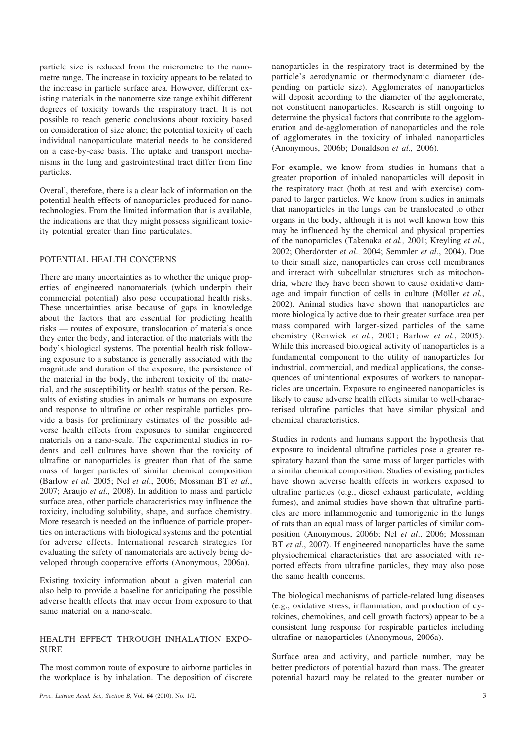particle size is reduced from the micrometre to the nanometre range. The increase in toxicity appears to be related to the increase in particle surface area. However, different existing materials in the nanometre size range exhibit different degrees of toxicity towards the respiratory tract. It is not possible to reach generic conclusions about toxicity based on consideration of size alone; the potential toxicity of each individual nanoparticulate material needs to be considered on a case-by-case basis. The uptake and transport mechanisms in the lung and gastrointestinal tract differ from fine particles.

Overall, therefore, there is a clear lack of information on the potential health effects of nanoparticles produced for nanotechnologies. From the limited information that is available, the indications are that they might possess significant toxicity potential greater than fine particulates.

#### POTENTIAL HEALTH CONCERNS

There are many uncertainties as to whether the unique properties of engineered nanomaterials (which underpin their commercial potential) also pose occupational health risks. These uncertainties arise because of gaps in knowledge about the factors that are essential for predicting health risks — routes of exposure, translocation of materials once they enter the body, and interaction of the materials with the body's biological systems. The potential health risk following exposure to a substance is generally associated with the magnitude and duration of the exposure, the persistence of the material in the body, the inherent toxicity of the material, and the susceptibility or health status of the person. Results of existing studies in animals or humans on exposure and response to ultrafine or other respirable particles provide a basis for preliminary estimates of the possible adverse health effects from exposures to similar engineered materials on a nano-scale. The experimental studies in rodents and cell cultures have shown that the toxicity of ultrafine or nanoparticles is greater than that of the same mass of larger particles of similar chemical composition (Barlow *et al.* 2005; Nel *et al*., 2006; Mossman BT *et al.*, 2007; Araujo *et al.,* 2008). In addition to mass and particle surface area, other particle characteristics may influence the toxicity, including solubility, shape, and surface chemistry. More research is needed on the influence of particle properties on interactions with biological systems and the potential for adverse effects. International research strategies for evaluating the safety of nanomaterials are actively being developed through cooperative efforts (Anonymous, 2006a).

Existing toxicity information about a given material can also help to provide a baseline for anticipating the possible adverse health effects that may occur from exposure to that same material on a nano-scale.

#### HEALTH EFFECT THROUGH INHALATION EXPO-**SURE**

The most common route of exposure to airborne particles in the workplace is by inhalation. The deposition of discrete nanoparticles in the respiratory tract is determined by the particle's aerodynamic or thermodynamic diameter (depending on particle size). Agglomerates of nanoparticles will deposit according to the diameter of the agglomerate, not constituent nanoparticles. Research is still ongoing to determine the physical factors that contribute to the agglomeration and de-agglomeration of nanoparticles and the role of agglomerates in the toxicity of inhaled nanoparticles (Anonymous, 2006b; Donaldson *et al.,* 2006).

For example, we know from studies in humans that a greater proportion of inhaled nanoparticles will deposit in the respiratory tract (both at rest and with exercise) compared to larger particles. We know from studies in animals that nanoparticles in the lungs can be translocated to other organs in the body, although it is not well known how this may be influenced by the chemical and physical properties of the nanoparticles (Takenaka *et al.,* 2001; Kreyling *et al.*, 2002; Oberdörster *et al*., 2004; Semmler *et al.*, 2004). Due to their small size, nanoparticles can cross cell membranes and interact with subcellular structures such as mitochondria, where they have been shown to cause oxidative damage and impair function of cells in culture (Möller *et al.*, 2002). Animal studies have shown that nanoparticles are more biologically active due to their greater surface area per mass compared with larger-sized particles of the same chemistry (Renwick *et al.*, 2001; Barlow *et al.*, 2005). While this increased biological activity of nanoparticles is a fundamental component to the utility of nanoparticles for industrial, commercial, and medical applications, the consequences of unintentional exposures of workers to nanoparticles are uncertain. Exposure to engineered nanoparticles is likely to cause adverse health effects similar to well-characterised ultrafine particles that have similar physical and chemical characteristics.

Studies in rodents and humans support the hypothesis that exposure to incidental ultrafine particles pose a greater respiratory hazard than the same mass of larger particles with a similar chemical composition. Studies of existing particles have shown adverse health effects in workers exposed to ultrafine particles (e.g., diesel exhaust particulate, welding fumes), and animal studies have shown that ultrafine particles are more inflammogenic and tumorigenic in the lungs of rats than an equal mass of larger particles of similar composition (Anonymous, 2006b; Nel *et al*., 2006; Mossman BT *et al.*, 2007). If engineered nanoparticles have the same physiochemical characteristics that are associated with reported effects from ultrafine particles, they may also pose the same health concerns.

The biological mechanisms of particle-related lung diseases (e.g., oxidative stress, inflammation, and production of cytokines, chemokines, and cell growth factors) appear to be a consistent lung response for respirable particles including ultrafine or nanoparticles (Anonymous, 2006a).

Surface area and activity, and particle number, may be better predictors of potential hazard than mass. The greater potential hazard may be related to the greater number or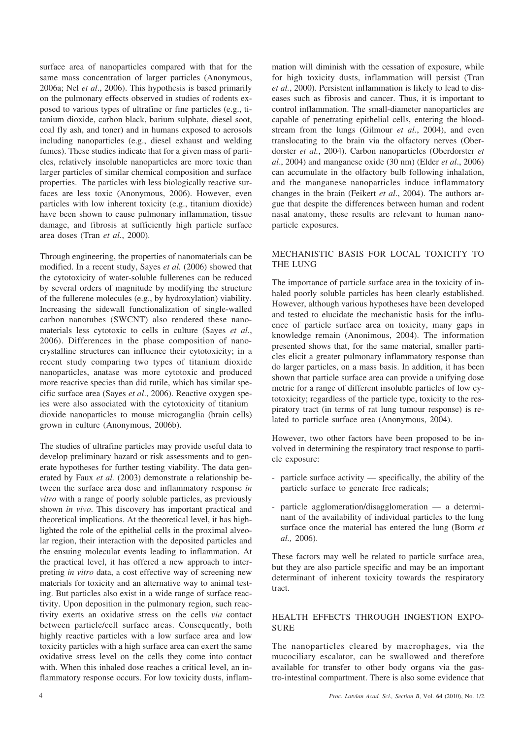surface area of nanoparticles compared with that for the same mass concentration of larger particles (Anonymous, 2006a; Nel *et al*., 2006). This hypothesis is based primarily on the pulmonary effects observed in studies of rodents exposed to various types of ultrafine or fine particles (e.g., titanium dioxide, carbon black, barium sulphate, diesel soot, coal fly ash, and toner) and in humans exposed to aerosols including nanoparticles (e.g., diesel exhaust and welding fumes). These studies indicate that for a given mass of particles, relatively insoluble nanoparticles are more toxic than larger particles of similar chemical composition and surface properties. The particles with less biologically reactive surfaces are less toxic (Anonymous, 2006). However, even particles with low inherent toxicity (e.g., titanium dioxide) have been shown to cause pulmonary inflammation, tissue damage, and fibrosis at sufficiently high particle surface area doses (Tran *et al.*, 2000).

Through engineering, the properties of nanomaterials can be modified. In a recent study, Sayes *et al.* (2006) showed that the cytotoxicity of water-soluble fullerenes can be reduced by several orders of magnitude by modifying the structure of the fullerene molecules (e.g., by hydroxylation) viability. Increasing the sidewall functionalization of single-walled carbon nanotubes (SWCNT) also rendered these nanomaterials less cytotoxic to cells in culture (Sayes *et al.*, 2006). Differences in the phase composition of nanocrystalline structures can influence their cytotoxicity; in a recent study comparing two types of titanium dioxide nanoparticles, anatase was more cytotoxic and produced more reactive species than did rutile, which has similar specific surface area (Sayes *et al*., 2006). Reactive oxygen speies were also associated with the cytotoxicity of titanium dioxide nanoparticles to mouse microganglia (brain cells) grown in culture (Anonymous, 2006b).

The studies of ultrafine particles may provide useful data to develop preliminary hazard or risk assessments and to generate hypotheses for further testing viability. The data generated by Faux *et al.* (2003) demonstrate a relationship between the surface area dose and inflammatory response *in vitro* with a range of poorly soluble particles, as previously shown *in vivo*. This discovery has important practical and theoretical implications. At the theoretical level, it has highlighted the role of the epithelial cells in the proximal alveolar region, their interaction with the deposited particles and the ensuing molecular events leading to inflammation. At the practical level, it has offered a new approach to interpreting *in vitro* data, a cost effective way of screening new materials for toxicity and an alternative way to animal testing. But particles also exist in a wide range of surface reactivity. Upon deposition in the pulmonary region, such reactivity exerts an oxidative stress on the cells *via* contact between particle/cell surface areas. Consequently, both highly reactive particles with a low surface area and low toxicity particles with a high surface area can exert the same oxidative stress level on the cells they come into contact with. When this inhaled dose reaches a critical level, an inflammatory response occurs. For low toxicity dusts, inflammation will diminish with the cessation of exposure, while for high toxicity dusts, inflammation will persist (Tran *et al.*, 2000). Persistent inflammation is likely to lead to diseases such as fibrosis and cancer. Thus, it is important to control inflammation. The small-diameter nanoparticles are capable of penetrating epithelial cells, entering the bloodstream from the lungs (Gilmour *et al.*, 2004), and even translocating to the brain via the olfactory nerves (Oberdorster *et al.*, 2004). Carbon nanoparticles (Oberdorster *et al*., 2004) and manganese oxide (30 nm) (Elder *et al*., 2006) can accumulate in the olfactory bulb following inhalation, and the manganese nanoparticles induce inflammatory changes in the brain (Feikert *et al*., 2004). The authors argue that despite the differences between human and rodent nasal anatomy, these results are relevant to human nanoparticle exposures.

## MECHANISTIC BASIS FOR LOCAL TOXICITY TO THE LUNG

The importance of particle surface area in the toxicity of inhaled poorly soluble particles has been clearly established. However, although various hypotheses have been developed and tested to elucidate the mechanistic basis for the influence of particle surface area on toxicity, many gaps in knowledge remain (Anonimous, 2004). The information presented shows that, for the same material, smaller particles elicit a greater pulmonary inflammatory response than do larger particles, on a mass basis. In addition, it has been shown that particle surface area can provide a unifying dose metric for a range of different insoluble particles of low cytotoxicity; regardless of the particle type, toxicity to the respiratory tract (in terms of rat lung tumour response) is related to particle surface area (Anonymous, 2004).

However, two other factors have been proposed to be involved in determining the respiratory tract response to particle exposure:

- particle surface activity specifically, the ability of the particle surface to generate free radicals;
- particle agglomeration/disagglomeration a determinant of the availability of individual particles to the lung surface once the material has entered the lung (Borm *et al.,* 2006).

These factors may well be related to particle surface area, but they are also particle specific and may be an important determinant of inherent toxicity towards the respiratory tract.

#### HEALTH EFFECTS THROUGH INGESTION EXPO-**SURE**

The nanoparticles cleared by macrophages, via the mucociliary escalator, can be swallowed and therefore available for transfer to other body organs via the gastro-intestinal compartment. There is also some evidence that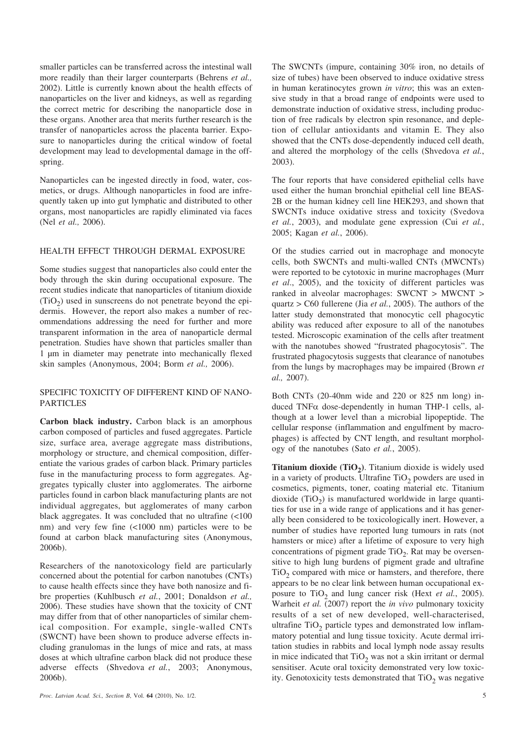smaller particles can be transferred across the intestinal wall more readily than their larger counterparts (Behrens *et al.,* 2002). Little is currently known about the health effects of nanoparticles on the liver and kidneys, as well as regarding the correct metric for describing the nanoparticle dose in these organs. Another area that merits further research is the transfer of nanoparticles across the placenta barrier. Exposure to nanoparticles during the critical window of foetal development may lead to developmental damage in the offspring.

Nanoparticles can be ingested directly in food, water, cosmetics, or drugs. Although nanoparticles in food are infrequently taken up into gut lymphatic and distributed to other organs, most nanoparticles are rapidly eliminated via faces (Nel *et al.,* 2006).

#### HEALTH EFFECT THROUGH DERMAL EXPOSURE

Some studies suggest that nanoparticles also could enter the body through the skin during occupational exposure. The recent studies indicate that nanoparticles of titanium dioxide  $(TiO<sub>2</sub>)$  used in sunscreens do not penetrate beyond the epidermis. However, the report also makes a number of recommendations addressing the need for further and more transparent information in the area of nanoparticle dermal penetration. Studies have shown that particles smaller than 1 µm in diameter may penetrate into mechanically flexed skin samples (Anonymous, 2004; Borm *et al.,* 2006).

#### SPECIFIC TOXICITY OF DIFFERENT KIND OF NANO-PARTICLES

**Carbon black industry.** Carbon black is an amorphous carbon composed of particles and fused aggregates. Particle size, surface area, average aggregate mass distributions, morphology or structure, and chemical composition, differentiate the various grades of carbon black. Primary particles fuse in the manufacturing process to form aggregates. Aggregates typically cluster into agglomerates. The airborne particles found in carbon black manufacturing plants are not individual aggregates, but agglomerates of many carbon black aggregates. It was concluded that no ultrafine (<100 nm) and very few fine (<1000 nm) particles were to be found at carbon black manufacturing sites (Anonymous, 2006b).

Researchers of the nanotoxicology field are particularly concerned about the potential for carbon nanotubes (CNTs) to cause health effects since they have both nanosize and fibre properties (Kuhlbusch *et al.*, 2001; Donaldson *et al.,* 2006). These studies have shown that the toxicity of CNT may differ from that of other nanoparticles of similar chemical composition. For example, single-walled CNTs (SWCNT) have been shown to produce adverse effects including granulomas in the lungs of mice and rats, at mass doses at which ultrafine carbon black did not produce these adverse effects (Shvedova *et al.*, 2003; Anonymous, 2006b).

The SWCNTs (impure, containing 30% iron, no details of size of tubes) have been observed to induce oxidative stress in human keratinocytes grown *in vitro*; this was an extensive study in that a broad range of endpoints were used to demonstrate induction of oxidative stress, including production of free radicals by electron spin resonance, and depletion of cellular antioxidants and vitamin E. They also showed that the CNTs dose-dependently induced cell death, and altered the morphology of the cells (Shvedova *et al.*, 2003).

The four reports that have considered epithelial cells have used either the human bronchial epithelial cell line BEAS-2B or the human kidney cell line HEK293, and shown that SWCNTs induce oxidative stress and toxicity (Svedova *et al.*, 2003), and modulate gene expression (Cui *et al.*, 2005; Kagan *et al.*, 2006).

Of the studies carried out in macrophage and monocyte cells, both SWCNTs and multi-walled CNTs (MWCNTs) were reported to be cytotoxic in murine macrophages (Murr *et al*., 2005), and the toxicity of different particles was ranked in alveolar macrophages: SWCNT > MWCNT > quartz > C60 fullerene (Jia *et al.*, 2005). The authors of the latter study demonstrated that monocytic cell phagocytic ability was reduced after exposure to all of the nanotubes tested. Microscopic examination of the cells after treatment with the nanotubes showed "frustrated phagocytosis". The frustrated phagocytosis suggests that clearance of nanotubes from the lungs by macrophages may be impaired (Brown *et al.,* 2007).

Both CNTs (20-40nm wide and 220 or 825 nm long) induced  $TNF\alpha$  dose-dependently in human THP-1 cells, although at a lower level than a microbial lipopeptide. The cellular response (inflammation and engulfment by macrophages) is affected by CNT length, and resultant morphology of the nanotubes (Sato *et al.*, 2005).

**Titanium dioxide (TiO<sub>2</sub>)**. Titanium dioxide is widely used in a variety of products. Ultrafine  $TiO<sub>2</sub>$  powders are used in cosmetics, pigments, toner, coating material etc. Titanium dioxide  $(TiO<sub>2</sub>)$  is manufactured worldwide in large quantities for use in a wide range of applications and it has generally been considered to be toxicologically inert. However, a number of studies have reported lung tumours in rats (not hamsters or mice) after a lifetime of exposure to very high concentrations of pigment grade TiO<sub>2</sub>. Rat may be oversensitive to high lung burdens of pigment grade and ultrafine  $TiO<sub>2</sub>$  compared with mice or hamsters, and therefore, there appears to be no clear link between human occupational exposure to TiO<sub>2</sub> and lung cancer risk (Hext *et al.*, 2005). Warheit *et al.* (2007) report the *in vivo* pulmonary toxicity results of a set of new developed, well-characterised, ultrafine  $TiO<sub>2</sub>$  particle types and demonstrated low inflammatory potential and lung tissue toxicity. Acute dermal irritation studies in rabbits and local lymph node assay results in mice indicated that  $TiO<sub>2</sub>$  was not a skin irritant or dermal sensitiser. Acute oral toxicity demonstrated very low toxicity. Genotoxicity tests demonstrated that  $TiO<sub>2</sub>$  was negative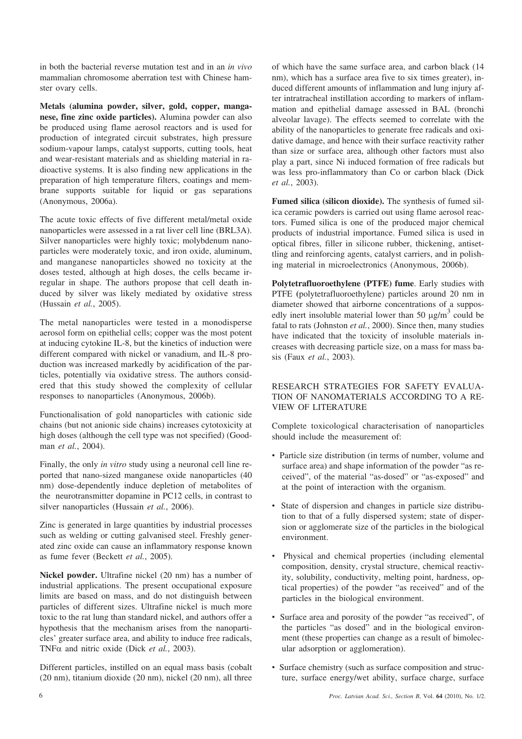in both the bacterial reverse mutation test and in an *in vivo* mammalian chromosome aberration test with Chinese hamster ovary cells.

**Metals (alumina powder, silver, gold, copper, manganese, fine zinc oxide particles).** Alumina powder can also be produced using flame aerosol reactors and is used for production of integrated circuit substrates, high pressure sodium-vapour lamps, catalyst supports, cutting tools, heat and wear-resistant materials and as shielding material in radioactive systems. It is also finding new applications in the preparation of high temperature filters, coatings and membrane supports suitable for liquid or gas separations (Anonymous, 2006a).

The acute toxic effects of five different metal/metal oxide nanoparticles were assessed in a rat liver cell line (BRL3A). Silver nanoparticles were highly toxic; molybdenum nanoparticles were moderately toxic, and iron oxide, aluminum, and manganese nanoparticles showed no toxicity at the doses tested, although at high doses, the cells became irregular in shape. The authors propose that cell death induced by silver was likely mediated by oxidative stress (Hussain *et al.*, 2005).

The metal nanoparticles were tested in a monodisperse aerosol form on epithelial cells; copper was the most potent at inducing cytokine IL-8, but the kinetics of induction were different compared with nickel or vanadium, and IL-8 production was increased markedly by acidification of the particles, potentially via oxidative stress. The authors considered that this study showed the complexity of cellular responses to nanoparticles (Anonymous, 2006b).

Functionalisation of gold nanoparticles with cationic side chains (but not anionic side chains) increases cytotoxicity at high doses (although the cell type was not specified) (Goodman *et al.*, 2004).

Finally, the only *in vitro* study using a neuronal cell line reported that nano-sized manganese oxide nanoparticles (40 nm) dose-dependently induce depletion of metabolites of the neurotransmitter dopamine in PC12 cells, in contrast to silver nanoparticles (Hussain *et al.*, 2006).

Zinc is generated in large quantities by industrial processes such as welding or cutting galvanised steel. Freshly generated zinc oxide can cause an inflammatory response known as fume fever (Beckett *et al.*, 2005).

**Nickel powder.** Ultrafine nickel (20 nm) has a number of industrial applications. The present occupational exposure limits are based on mass, and do not distinguish between particles of different sizes. Ultrafine nickel is much more toxic to the rat lung than standard nickel, and authors offer a hypothesis that the mechanism arises from the nanoparticles' greater surface area, and ability to induce free radicals, TNF $\alpha$  and nitric oxide (Dick *et al.*, 2003).

Different particles, instilled on an equal mass basis (cobalt (20 nm), titanium dioxide (20 nm), nickel (20 nm), all three

of which have the same surface area, and carbon black (14 nm), which has a surface area five to six times greater), induced different amounts of inflammation and lung injury after intratracheal instillation according to markers of inflammation and epithelial damage assessed in BAL (bronchi alveolar lavage). The effects seemed to correlate with the ability of the nanoparticles to generate free radicals and oxidative damage, and hence with their surface reactivity rather than size or surface area, although other factors must also play a part, since Ni induced formation of free radicals but was less pro-inflammatory than Co or carbon black (Dick *et al.*, 2003).

**Fumed silica (silicon dioxide).** The synthesis of fumed silica ceramic powders is carried out using flame aerosol reactors. Fumed silica is one of the produced major chemical products of industrial importance. Fumed silica is used in optical fibres, filler in silicone rubber, thickening, antisettling and reinforcing agents, catalyst carriers, and in polishing material in microelectronics (Anonymous, 2006b).

**Polytetrafluoroethylene (PTFE) fume**. Early studies with PTFE **(**polytetrafluoroethylene) particles around 20 nm in diameter showed that airborne concentrations of a supposedly inert insoluble material lower than 50  $\mu$ g/m<sup>3</sup> could be fatal to rats (Johnston *et al.*, 2000). Since then, many studies have indicated that the toxicity of insoluble materials increases with decreasing particle size, on a mass for mass basis (Faux *et al.*, 2003).

## RESEARCH STRATEGIES FOR SAFETY EVALUA-TION OF NANOMATERIALS ACCORDING TO A RE-VIEW OF LITERATURE

Complete toxicological characterisation of nanoparticles should include the measurement of:

- Particle size distribution (in terms of number, volume and surface area) and shape information of the powder "as received", of the material "as-dosed" or "as-exposed" and at the point of interaction with the organism.
- State of dispersion and changes in particle size distribution to that of a fully dispersed system; state of dispersion or agglomerate size of the particles in the biological environment.
- Physical and chemical properties (including elemental composition, density, crystal structure, chemical reactivity, solubility, conductivity, melting point, hardness, optical properties) of the powder "as received" and of the particles in the biological environment.
- Surface area and porosity of the powder "as received", of the particles "as dosed" and in the biological environment (these properties can change as a result of bimolecular adsorption or agglomeration).
- Surface chemistry (such as surface composition and structure, surface energy/wet ability, surface charge, surface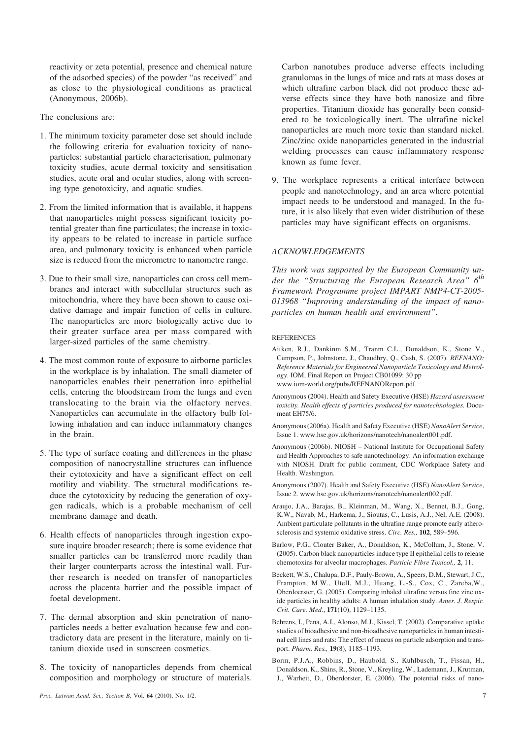reactivity or zeta potential, presence and chemical nature of the adsorbed species) of the powder "as received" and as close to the physiological conditions as practical (Anonymous, 2006b).

The conclusions are:

- 1. The minimum toxicity parameter dose set should include the following criteria for evaluation toxicity of nanoparticles: substantial particle characterisation, pulmonary toxicity studies, acute dermal toxicity and sensitisation studies, acute oral and ocular studies, along with screening type genotoxicity, and aquatic studies.
- 2. From the limited information that is available, it happens that nanoparticles might possess significant toxicity potential greater than fine particulates; the increase in toxicity appears to be related to increase in particle surface area, and pulmonary toxicity is enhanced when particle size is reduced from the micrometre to nanometre range.
- 3. Due to their small size, nanoparticles can cross cell membranes and interact with subcellular structures such as mitochondria, where they have been shown to cause oxidative damage and impair function of cells in culture. The nanoparticles are more biologically active due to their greater surface area per mass compared with larger-sized particles of the same chemistry.
- 4. The most common route of exposure to airborne particles in the workplace is by inhalation. The small diameter of nanoparticles enables their penetration into epithelial cells, entering the bloodstream from the lungs and even translocating to the brain via the olfactory nerves. Nanoparticles can accumulate in the olfactory bulb following inhalation and can induce inflammatory changes in the brain.
- 5. The type of surface coating and differences in the phase composition of nanocrystalline structures can influence their cytotoxicity and have a significant effect on cell motility and viability. The structural modifications reduce the cytotoxicity by reducing the generation of oxygen radicals, which is a probable mechanism of cell membrane damage and death.
- 6. Health effects of nanoparticles through ingestion exposure inquire broader research; there is some evidence that smaller particles can be transferred more readily than their larger counterparts across the intestinal wall. Further research is needed on transfer of nanoparticles across the placenta barrier and the possible impact of foetal development.
- 7. The dermal absorption and skin penetration of nanoparticles needs a better evaluation because few and contradictory data are present in the literature, mainly on titanium dioxide used in sunscreen cosmetics.
- 8. The toxicity of nanoparticles depends from chemical composition and morphology or structure of materials.

Carbon nanotubes produce adverse effects including granulomas in the lungs of mice and rats at mass doses at which ultrafine carbon black did not produce these adverse effects since they have both nanosize and fibre properties. Titanium dioxide has generally been considered to be toxicologically inert. The ultrafine nickel nanoparticles are much more toxic than standard nickel. Zinc/zinc oxide nanoparticles generated in the industrial welding processes can cause inflammatory response known as fume fever.

9. The workplace represents a critical interface between people and nanotechnology, and an area where potential impact needs to be understood and managed. In the future, it is also likely that even wider distribution of these particles may have significant effects on organisms.

#### *ACKNOWLEDGEMENTS*

*This work was supported by the European Community under the "Structuring the European Research Area" 6th Framework Programme project IMPART NMP4-CT-2005- 013968 "Improving understanding of the impact of nanoparticles on human health and environment"*.

#### REFERENCES

- Aitken, R.J., Dankinm S.M., Tranm C.L., Donaldson, K., Stone V., Cumpson, P., Johnstone, J., Chaudhry, Q., Cash, S. (2007). *REFNANO: Reference Materials for Engineered Nanoparticle Toxicology and Metrology*. IOM, Final Report on Project CB01099: 30 pp www.iom-world.org/pubs/REFNANOReport.pdf.
- Anonymous (2004). Health and Safety Executive (HSE) *Hazard assessment toxicity. Health effects of particles produced for nanotechnologies.* Document EH75/6.
- Anonymous (2006a). Health and Safety Executive (HSE) *NanoAlert Service*, Issue 1. www.hse.gov.uk/horizons/nanotech/nanoalert001.pdf.
- Anonymous (2006b). NIOSH National Institute for Occupational Safety and Health Approaches to safe nanotechnology: An information exchange with NIOSH. Draft for public comment, CDC Workplace Safety and Health. Washington.
- Anonymous (2007). Health and Safety Executive (HSE) *NanoAlert Service*, Issue 2. www.hse.gov.uk/horizons/nanotech/nanoalert002.pdf.
- Araujo, J.A., Barajas, B., Kleinman, M., Wang, X., Bennet, B.J., Gong, K.W., Navab, M., Harkema, J., Sioutas, C., Lusis, A.J., Nel, A.E. (2008). Ambient particulate pollutants in the ultrafine range promote early atherosclerosis and systemic oxidative stress. *Circ. Res.,* **102**, 589–596.
- Barlow, P.G., Clouter Baker, A., Donaldson, K., McCollum, J., Stone, V. (2005). Carbon black nanoparticles induce type II epithelial cells to release chemotoxins for alveolar macrophages. *Particle Fibre Toxicol.,* **2**, 11.
- Beckett, W.S., Chalupa, D.F., Pauly-Brown, A., Speers, D.M., Stewart, J.C., Frampton, M.W., Utell, M.J., Huang, L.-S., Cox, C., Zareba,W., Oberdoerster, G. (2005). Comparing inhaled ultrafine versus fine zinc oxide particles in healthy adults: A human inhalation study. *Amer. J. Respir. Crit. Care. Med*., **171**(10), 1129–1135.
- Behrens, I., Pena, A.I., Alonso, M.J., Kissel, T. (2002). Comparative uptake studies of bioadhesive and non-bioadhesive nanoparticles in human intestinal cell lines and rats: The effect of mucus on particle adsorption and transport. *Pharm. Res.,* **19**(8), 1185–1193.
- Borm, P.J.A., Robbins, D., Haubold, S., Kuhlbusch, T., Fissan, H., Donaldson, K., Shins, R., Stone, V., Kreyling, W., Lademann, J., Krutman, J., Warheit, D., Oberdorster, E. (2006). The potential risks of nano-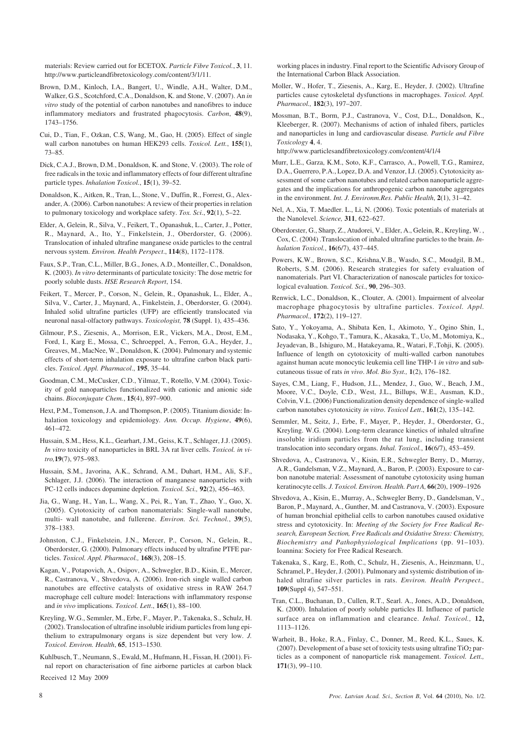materials: Review carried out for ECETOX. *Particle Fibre Toxicol.*, **3**, 11. http://www.particleandfibretoxicology.com/content/3/1/11.

- Brown, D.M., Kinloch, I.A., Bangert, U., Windle, A.H., Walter, D.M., Walker, G.S., Scotchford, C.A., Donaldson, K. and Stone, V. (2007). An *in vitro* study of the potential of carbon nanotubes and nanofibres to induce inflammatory mediators and frustrated phagocytosis. *Carbon*, **48**(9), 1743–1756.
- Cui, D., Tian, F., Ozkan, C.S, Wang, M., Gao, H. (2005). Effect of single wall carbon nanotubes on human HEK293 cells. *Toxicol. Lett.*, **155**(1), 73–85.
- Dick, C.A.J., Brown, D.M., Donaldson, K. and Stone, V. (2003). The role of free radicals in the toxic and inflammatory effects of four different ultrafine particle types. *Inhalation Toxicol.*, **15**(1), 39–52.
- Donaldson, K., Aitken, R., Tran, L., Stone, V., Duffin, R., Forrest, G., Alexander, A. (2006). Carbon nanotubes: A review of their properties in relation to pulmonary toxicology and workplace safety. *Tox. Sci*., **92**(1), 5–22.
- Elder, A, Gelein, R., Silva, V., Feikert, T., Opanashuk, L., Carter, J., Potter, R., Maynard, A., Ito, Y., Finkelstein, J., Oberdorster, G. (2006). Translocation of inhaled ultrafine manganese oxide particles to the central nervous system. *Environ. Health Perspect*., **114**(8), 1172–1178.
- Faux, S.P., Tran, C.L., Miller, B.G., Jones, A.D., Monteiller, C., Donaldson, K. (2003). *In vitro* determinants of particulate toxicity: The dose metric for poorly soluble dusts. *HSE Research Report*, 154.
- Feikert, T., Mercer, P., Corson, N., Gelein, R., Opanashuk, L., Elder, A., Silva, V., Carter, J., Maynard, A., Finkelstein, J., Oberdorster, G. (2004). Inhaled solid ultrafine particles (UFP) are efficiently translocated via neuronal nasal-olfactory pathways. *Toxicologist,* **78** (Suppl. 1), 435–436.
- Gilmour, P.S., Ziesenis, A., Morrison, E.R., Vickers, M.A., Drost, E.M., Ford, I., Karg E., Mossa, C., Schroeppel, A., Ferron, G.A., Heyder, J., Greaves, M., MacNee, W., Donaldson, K. (2004). Pulmonary and systemic effects of short-term inhalation exposure to ultrafine carbon black particles. *Toxicol. Appl. Pharmacol*., **195**, 35–44.
- Goodman, C.M., McCusker, C.D., Yilmaz, T., Rotello, V.M. (2004). Toxicity of gold nanoparticles functionalized with cationic and anionic side chains. *Bioconjugate Chem.*, **15**(4), 897–900.
- Hext, P.M., Tomenson, J.A. and Thompson, P. (2005). Titanium dioxide: Inhalation toxicology and epidemiology*. Ann. Occup. Hygiene*, **49**(6), 461–472.
- Hussain, S.M., Hess, K.L., Gearhart, J.M., Geiss, K.T., Schlager, J.J. (2005). *In vitro* toxicity of nanoparticles in BRL 3A rat liver cells. *Toxicol. in vitro,***19**(7), 975–983.
- Hussain, S.M., Javorina, A.K., Schrand, A.M., Duhart, H.M., Ali, S.F., Schlager, J.J. (2006). The interaction of manganese nanoparticles with PC-12 cells induces dopamine depletion. *Toxicol. Sci.,* **92**(2), 456–463.
- Jia, G., Wang, H., Yan, L., Wang, X., Pei, R., Yan, T., Zhao, Y., Guo, X. (2005). Cytotoxicity of carbon nanomaterials: Single-wall nanotube, multi- wall nanotube, and fullerene. *Environ. Sci. Technol.*, **39**(5), 378–1383.
- Johnston, C.J., Finkelstein, J.N., Mercer, P., Corson, N., Gelein, R., Oberdorster, G. (2000). Pulmonary effects induced by ultrafine PTFE particles. *Toxicol. Appl. Pharmacol.,* **168**(3), 208–15.
- Kagan, V., Potapovich, A., Osipov, A., Schwegler, B.D., Kisin, E., Mercer, R., Castranova, V., Shvedova, A. (2006). Iron-rich single walled carbon nanotubes are effective catalysts of oxidative stress in RAW 264.7 macrophage cell culture model: Interactions with inflammatory response and *in vivo* implications. *Toxicol. Lett*., **165**(1), 88–100.
- Kreyling, W.G., Semmler, M., Erbe, F., Mayer, P., Takenaka, S., Schulz, H. (2002). Translocation of ultrafine insoluble iridium particles from lung epithelium to extrapulmonary organs is size dependent but very low. *J. Toxicol. Environ. Health*, **65**, 1513–1530.
- Kuhlbusch, T., Neumann, S., Ewald, M., Hufmann, H., Fissan, H. (2001). Final report on characterisation of fine airborne particles at carbon black

Received 12 May 2009

working places in industry. Final report to the Scientific Advisory Group of the International Carbon Black Association.

- Moller, W., Hofer, T., Ziesenis, A., Karg, E., Heyder, J. (2002). Ultrafine particles cause cytoskeletal dysfunctions in macrophages. *Toxicol. Appl. Pharmacol.,* **182**(3), 197–207.
- Mossman, B.T., Borm, P.J., Castranova, V., Cost, D.L., Donaldson, K., Kleeberger, R. (2007). Mechanisms of action of inhaled fibers, particles and nanoparticles in lung and cardiovascular disease*. Particle and Fibre Toxicology* **4**, 4.

http://www.particlesandfibretoxicology.com/content/4/1/4

- Murr, L.E., Garza, K.M., Soto, K.F., Carrasco, A., Powell, T.G., Ramirez, D.A., Guerrero, P.A., Lopez, D.A. and Venzor, I.J. (2005). Cytotoxicity assessment of some carbon nanotubes and related carbon nanoparticle aggregates and the implications for anthropogenic carbon nanotube aggregates in the environment. *Int. J. Environm.Res. Public Health*, **2**(1), 31–42.
- Nel, A., Xia, T. Maedler. L., Li, N. (2006). Toxic potentials of materials at the Nanolevel. *Science,* **311**, 622–627.
- Oberdorster, G., Sharp, Z., Atudorei, V., Elder, A., Gelein, R., Kreyling, W. , Cox, C. (2004) .Translocation of inhaled ultrafine particles to the brain. *Inhalation Toxicol.*, **16**(6/7), 437–445.
- Powers, K.W., Brown, S.C., Krishna,V.B., Wasdo, S.C., Moudgil, B.M., Roberts, S.M. (2006). Research strategies for safety evaluation of nanomaterials. Part VI. Characterization of nanoscale particles for toxicological evaluation. *Toxicol. Sci.*, **90**, 296–303.
- Renwick, L.C., Donaldson, K., Clouter, A. (2001). Impairment of alveolar macrophage phagocytosis by ultrafine particles. *Toxicol. Appl. Pharmacol.,* **172**(2), 119–127.
- Sato, Y., Yokoyama, A., Shibata Ken, I., Akimoto, Y., Ogino Shin, I., Nodasaka, Y., Kohgo, T., Tamura, K., Akasaka, T., Uo, M., Motomiya, K., Jeyadevan, B., Ishiguro, M., Hatakeyama, R., Watari, F.,Tohji, K. (2005). Influence of length on cytotoxicity of multi-walled carbon nanotubes against human acute monocytic leukemia cell line THP-1 *in vitro* and subcutaneous tissue of rats *in vivo*. *Mol. Bio Syst.,* **1**(2), 176–182.
- Sayes, C.M., Liang, F., Hudson, J.L., Mendez, J., Guo, W., Beach, J.M., Moore, V.C., Doyle, C.D., West, J.L., Billups, W.E., Ausman, K.D., Colvin, V.L. (2006) Functionalization density dependence of single-walled carbon nanotubes cytotoxicity *in vitro*. *Toxicol Lett*., **161**(2), 135–142.
- Semmler, M., Seitz, J., Erbe, F., Mayer, P., Heyder, J., Oberdorster, G., Kreyling. W.G. (2004). Long-term clearance kinetics of inhaled ultrafine insoluble iridium particles from the rat lung, including transient translocation into secondary organs. *Inhal. Toxicol.*, **16**(6/7), 453–459.
- Shvedova, A., Castranova, V., Kisin, E.R., Schwegler Berry, D., Murray, A.R., Gandelsman, V.Z., Maynard, A., Baron, P. (2003). Exposure to carbon nanotube material: Assessment of nanotube cytotoxicity using human keratinocyte cells. *J. Toxicol. Environ. Health. Part A,* **66**(20), 1909–1926
- Shvedova, A., Kisin, E., Murray, A., Schwegler Berry, D., Gandelsman, V., Baron, P., Maynard, A., Gunther, M. and Castranova, V. (2003). Exposure of human bronchial epithelial cells to carbon nanotubes caused oxidative stress and cytotoxicity. In: *Meeting of the Society for Free Radical Research, European Section, Free Radicals and Oxidative Stress: Chemistry, Biochemistry and Pathophysiological Implications* (pp. 91–103). Ioannina: Society for Free Radical Research.
- Takenaka, S., Karg, E., Roth, C., Schulz, H., Ziesenis, A., Heinzmann, U., Schramel, P., Heyder, J. (2001). Pulmonary and systemic distribution of inhaled ultrafine silver particles in rats. *Environ. Health Perspect.,* **109**(Suppl 4), 547–551.
- Tran, C.L., Buchanan, D., Cullen, R.T., Searl. A., Jones, A.D., Donaldson, K. (2000). Inhalation of poorly soluble particles II. Influence of particle surface area on inflammation and clearance. *Inhal. Toxicol.,* **12,** 1113–1126.
- Warheit, B., Hoke, R.A., Finlay, C., Donner, M., Reed, K.L., Saues, K. (2007). Development of a base set of toxicity tests using ultrafine  $TiO<sub>2</sub>$  particles as a component of nanoparticle risk management. *Toxicol. Lett.,* **171**(3), 99–110.